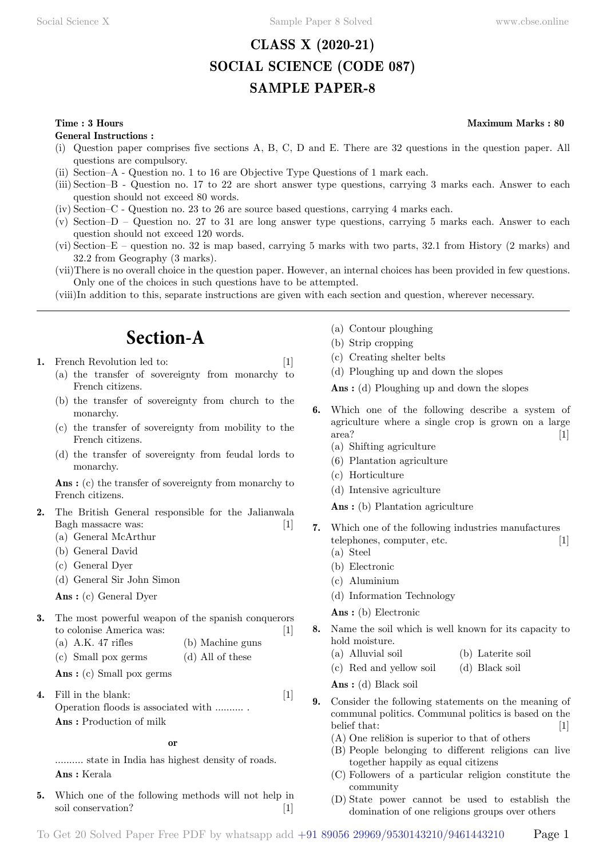# **CLASS X (2020-21) SOCIAL SCIENCE (CODE 087) SAMPLE PAPER-8**

**General Instructions :**

- (i) Question paper comprises five sections A, B, C, D and E. There are 32 questions in the question paper. All questions are compulsory.
- (ii) Section–A Question no. 1 to 16 are Objective Type Questions of 1 mark each.
- (iii) Section–B Question no. 17 to 22 are short answer type questions, carrying 3 marks each. Answer to each question should not exceed 80 words.
- (iv) Section–C Question no. 23 to 26 are source based questions, carrying 4 marks each.
- (v) Section–D Question no. 27 to 31 are long answer type questions, carrying 5 marks each. Answer to each question should not exceed 120 words.
- (vi) Section–E question no. 32 is map based, carrying 5 marks with two parts, 32.1 from History (2 marks) and 32.2 from Geography (3 marks).
- (vii)There is no overall choice in the question paper. However, an internal choices has been provided in few questions. Only one of the choices in such questions have to be attempted.
- (viii)In addition to this, separate instructions are given with each section and question, wherever necessary.

# **Section-A**

- **1.** French Revolution led to: [1]
	- (a) the transfer of sovereignty from monarchy to French citizens.
	- (b) the transfer of sovereignty from church to the monarchy.
	- (c) the transfer of sovereignty from mobility to the French citizens.
	- (d) the transfer of sovereignty from feudal lords to monarchy.

 **Ans :** (c) the transfer of sovereignty from monarchy to French citizens.

- **2.** The British General responsible for the Jalianwala Bagh massacre was: [1]
	- (a) General McArthur
	- (b) General David
	- (c) General Dyer
	- (d) General Sir John Simon

 **Ans :** (c) General Dyer

- **3.** The most powerful weapon of the spanish conquerors to colonise America was: [1]
	- (a) A.K. 47 rifles (b) Machine guns
	- (c) Small pox germs (d) All of these
	- **Ans :** (c) Small pox germs

**4.** Fill in the blank: [1] Operation floods is associated with .......... .  **Ans :** Production of milk

 **o**

.......... state in India has highest density of roads.  **Ans :** Kerala

**5.** Which one of the following methods will not help in soil conservation? [1]

- (a) Contour ploughing
- (b) Strip cropping
- (c) Creating shelter belts
- (d) Ploughing up and down the slopes

 **Ans :** (d) Ploughing up and down the slopes

- **6.** Which one of the following describe a system of agriculture where a single crop is grown on a large area? [1]
	- (a) Shifting agriculture
	- (6) Plantation agriculture
	- (c) Horticulture
	- (d) Intensive agriculture

 **Ans :** (b) Plantation agriculture

- **7.** Which one of the following industries manufactures telephones, computer, etc. [1]
	- (a) Steel
	- (b) Electronic
	- (c) Aluminium
	- (d) Information Technology

 **Ans :** (b) Electronic

- **8.** Name the soil which is well known for its capacity to hold moisture.
	- (a) Alluvial soil (b) Laterite soil
	- (c) Red and yellow soil (d) Black soil
	- **Ans :** (d) Black soil
- **9.** Consider the following statements on the meaning of communal politics. Communal politics is based on the belief that:  $[1]$ 
	- (A) One reli8ion is superior to that of others
	- (B) People belonging to different religions can live together happily as equal citizens
	- (C) Followers of a particular religion constitute the community
	- (D) State power cannot be used to establish the domination of one religions groups over others

### **Time : 3 Hours Maximum Marks : 80**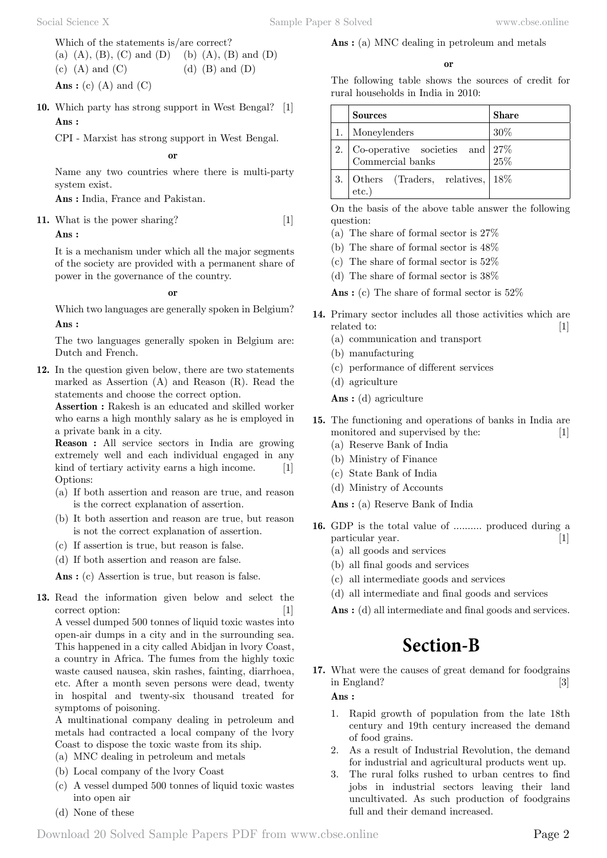Which of the statements is/are correct? (a)  $(A)$ ,  $(B)$ ,  $(C)$  and  $(D)$  (b)  $(A)$ ,  $(B)$  and  $(D)$ (c) (A) and (C)  $\qquad$  (d) (B) and (D)  **Ans :** (c) (A) and (C)

**10.** Which party has strong support in West Bengal? [1]  **Ans :**

CPI - Marxist has strong support in West Bengal.

 **o**

Name any two countries where there is multi-party system exist.

 **Ans :** India, France and Pakistan.

**11.** What is the power sharing? [1]

#### **Ans :**

It is a mechanism under which all the major segments of the society are provided with a permanent share of power in the governance of the country.

 **o**

Which two languages are generally spoken in Belgium?  **Ans :**

The two languages generally spoken in Belgium are: Dutch and French.

**12.** In the question given below, there are two statements marked as Assertion (A) and Reason (R). Read the statements and choose the correct option.

**Assertion :** Rakesh is an educated and skilled worker who earns a high monthly salary as he is employed in a private bank in a city.

**Reason :** All service sectors in India are growing extremely well and each individual engaged in any kind of tertiary activity earns a high income. [1] Options:

- (a) If both assertion and reason are true, and reason is the correct explanation of assertion.
- (b) It both assertion and reason are true, but reason is not the correct explanation of assertion.
- (c) If assertion is true, but reason is false.
- (d) If both assertion and reason are false.

 **Ans :** (c) Assertion is true, but reason is false.

**13.** Read the information given below and select the correct option: [1] A vessel dumped 500 tonnes of liquid toxic wastes into open-air dumps in a city and in the surrounding sea. This happened in a city called Abidjan in lvory Coast, a country in Africa. The fumes from the highly toxic waste caused nausea, skin rashes, fainting, diarrhoea, etc. After a month seven persons were dead, twenty in hospital and twenty-six thousand treated for symptoms of poisoning.

A multinational company dealing in petroleum and metals had contracted a local company of the lvory Coast to dispose the toxic waste from its ship.

- (a) MNC dealing in petroleum and metals
- (b) Local company of the lvory Coast
- (c) A vessel dumped 500 tonnes of liquid toxic wastes into open air
- (d) None of these

# **Ans :** (a) MNC dealing in petroleum and metals

#### **o**

The following table shows the sources of credit for rural households in India in 2010:

|    | Sources                                               | <b>Share</b> |
|----|-------------------------------------------------------|--------------|
|    | Moneylenders                                          | 30%          |
| 2. | Co-operative societies and $27\%$<br>Commercial banks | 25%          |
|    | Others (Traders, relatives,<br>etc.                   | 18%          |

On the basis of the above table answer the following question:

- (a) The share of formal sector is 27%
- (b) The share of formal sector is 48%
- (c) The share of formal sector is 52%
- (d) The share of formal sector is 38%

 **Ans :** (c) The share of formal sector is 52%

- **14.** Primary sector includes all those activities which are related to: [1]
	- (a) communication and transport
	- (b) manufacturing
	- (c) performance of different services
	- (d) agriculture

 **Ans :** (d) agriculture

- **15.** The functioning and operations of banks in India are monitored and supervised by the: [1]
	- (a) Reserve Bank of India
	- (b) Ministry of Finance
	- (c) State Bank of India
	- (d) Ministry of Accounts

 **Ans :** (a) Reserve Bank of India

- **16.** GDP is the total value of .......... produced during a particular year. [1]
	- (a) all goods and services
	- (b) all final goods and services
	- (c) all intermediate goods and services
	- (d) all intermediate and final goods and services
	- **Ans :** (d) all intermediate and final goods and services.

# **Section-B**

**17.** What were the causes of great demand for foodgrains in England? [3]

 **Ans :**

- 1. Rapid growth of population from the late 18th century and 19th century increased the demand of food grains.
- 2. As a result of Industrial Revolution, the demand for industrial and agricultural products went up.
- 3. The rural folks rushed to urban centres to find jobs in industrial sectors leaving their land uncultivated. As such production of foodgrains full and their demand increased.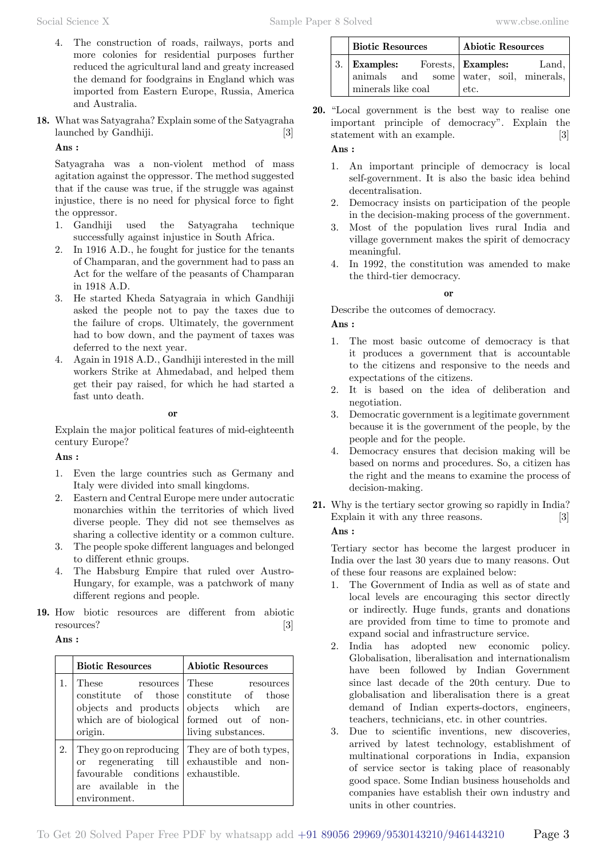- 4. The construction of roads, railways, ports and more colonies for residential purposes further reduced the agricultural land and greaty increased the demand for foodgrains in England which was imported from Eastern Europe, Russia, America and Australia.
- **18.** What was Satyagraha? Explain some of the Satyagraha launched by Gandhiji. [3]

### **Ans :**

Satyagraha was a non-violent method of mass agitation against the oppressor. The method suggested that if the cause was true, if the struggle was against injustice, there is no need for physical force to fight the oppressor.

- 1. Gandhiji used the Satyagraha technique successfully against injustice in South Africa.
- 2. In 1916 A.D., he fought for justice for the tenants of Champaran, and the government had to pass an Act for the welfare of the peasants of Champaran in 1918 A.D.
- 3. He started Kheda Satyagraia in which Gandhiji asked the people not to pay the taxes due to the failure of crops. Ultimately, the government had to bow down, and the payment of taxes was deferred to the next year.
- 4. Again in 1918 A.D., Gandhiji interested in the mill workers Strike at Ahmedabad, and helped them get their pay raised, for which he had started a fast unto death.

#### **o**

Explain the major political features of mid-eighteenth century Europe?

 **Ans :**

- 1. Even the large countries such as Germany and Italy were divided into small kingdoms.
- 2. Eastern and Central Europe mere under autocratic monarchies within the territories of which lived diverse people. They did not see themselves as sharing a collective identity or a common culture.
- 3. The people spoke different languages and belonged to different ethnic groups.
- 4. The Habsburg Empire that ruled over Austro-Hungary, for example, was a patchwork of many different regions and people.
- **19.** How biotic resources are different from abiotic resources? [3]

#### **Ans :**

|    | <b>Biotic Resources</b>                                                                     | <b>Abiotic Resources</b>                                                                                                                                                           |  |
|----|---------------------------------------------------------------------------------------------|------------------------------------------------------------------------------------------------------------------------------------------------------------------------------------|--|
|    | These<br>origin.                                                                            | resources These resources<br>constitute of those constitute of those<br>objects and products objects which are<br>which are of biological formed out of non-<br>living substances. |  |
| 2. | <sub>or</sub><br>favourable conditions exhaustible.<br>are available in the<br>environment. | They go on reproducing   They are of both types,<br>regenerating till exhaustible and non-                                                                                         |  |

| <b>Biotic Resources</b>               | <b>Abiotic Resources</b>                |
|---------------------------------------|-----------------------------------------|
| 3. Examples: Forests, Examples: Land, | animals and some water, soil, minerals, |
| minerals like coal                    | etc.                                    |

**20.** "Local government is the best way to realise one important principle of democracy". Explain the statement with an example. [3]

# **Ans :**

- 1. An important principle of democracy is local self-government. It is also the basic idea behind decentralisation.
- 2. Democracy insists on participation of the people in the decision-making process of the government.
- 3. Most of the population lives rural India and village government makes the spirit of democracy meaningful.
- 4. In 1992, the constitution was amended to make the third-tier democracy.

### **o**

Describe the outcomes of democracy.

### **Ans :**

- 1. The most basic outcome of democracy is that it produces a government that is accountable to the citizens and responsive to the needs and expectations of the citizens.
- 2. It is based on the idea of deliberation and negotiation.
- 3. Democratic government is a legitimate government because it is the government of the people, by the people and for the people.
- 4. Democracy ensures that decision making will be based on norms and procedures. So, a citizen has the right and the means to examine the process of decision-making.
- **21.** Why is the tertiary sector growing so rapidly in India? Explain it with any three reasons. [3]  **Ans :**

Tertiary sector has become the largest producer in India over the last 30 years due to many reasons. Out of these four reasons are explained below:

- 1. The Government of India as well as of state and local levels are encouraging this sector directly or indirectly. Huge funds, grants and donations are provided from time to time to promote and expand social and infrastructure service.
- 2. India has adopted new economic policy. Globalisation, liberalisation and internationalism have been followed by Indian Government since last decade of the 20th century. Due to globalisation and liberalisation there is a great demand of Indian experts-doctors, engineers, teachers, technicians, etc. in other countries.
- 3. Due to scientific inventions, new discoveries, arrived by latest technology, establishment of multinational corporations in India, expansion of service sector is taking place of reasonably good space. Some Indian business households and companies have establish their own industry and units in other countries.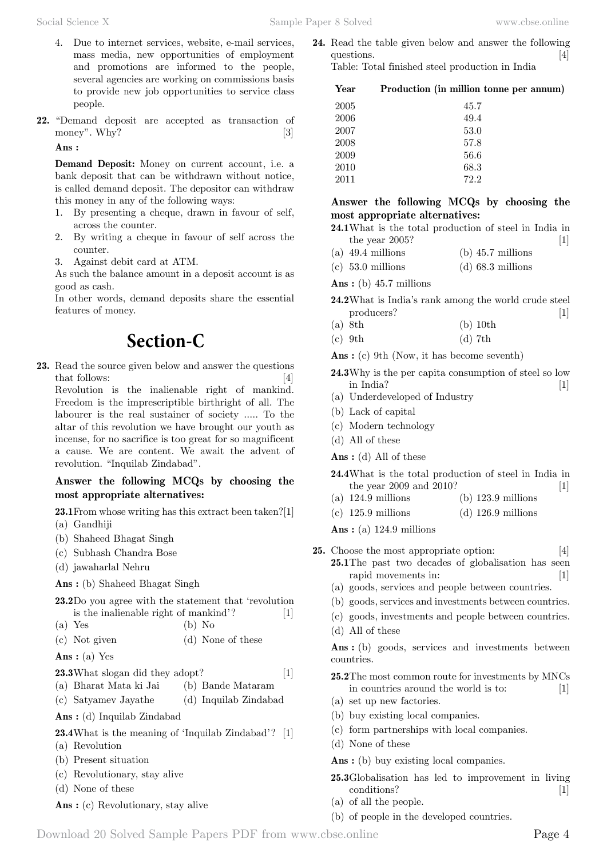- 4. Due to internet services, website, e-mail services, mass media, new opportunities of employment and promotions are informed to the people, several agencies are working on commissions basis to provide new job opportunities to service class people.
- **22.** "Demand deposit are accepted as transaction of money". Why? [3]

#### **Ans :**

**Demand Deposit:** Money on current account, i.e. a bank deposit that can be withdrawn without notice, is called demand deposit. The depositor can withdraw this money in any of the following ways:

- 1. By presenting a cheque, drawn in favour of self, across the counter.
- 2. By writing a cheque in favour of self across the counter.
- 3. Against debit card at ATM.

As such the balance amount in a deposit account is as good as cash.

In other words, demand deposits share the essential features of money.

# **Section-C**

**23.** Read the source given below and answer the questions that follows: [4] Revolution is the inalienable right of mankind.

Freedom is the imprescriptible birthright of all. The labourer is the real sustainer of society ..... To the altar of this revolution we have brought our youth as incense, for no sacrifice is too great for so magnificent a cause. We are content. We await the advent of revolution. "Inquilab Zindabad".

## **Answer the following MCQs by choosing the most appropriate alternatives:**

**23.1**From whose writing has this extract been taken?[1] (a) Gandhiji

- (b) Shaheed Bhagat Singh
- (c) Subhash Chandra Bose
- (d) jawaharlal Nehru

 **Ans :** (b) Shaheed Bhagat Singh

**23.2**Do you agree with the statement that 'revolution is the inalienable right of mankind'? [1]

 $(a)$  Yes  $(b)$  No

(c) Not given (d) None of these

 **Ans :** (a) Yes

### **23.3**What slogan did they adopt? [1]

- (a) Bharat Mata ki Jai (b) Bande Mataram
- (c) Satyamev Jayathe (d) Inquilab Zindabad

 **Ans :** (d) Inquilab Zindabad

- **23.4**What is the meaning of 'Inquilab Zindabad'? [1] (a) Revolution
- (b) Present situation
- (c) Revolutionary, stay alive
- (d) None of these
- **Ans :** (c) Revolutionary, stay alive

**24.** Read the table given below and answer the following questions. [4] Table: Total finished steel production in India

| Year | Production (in million tonne per annum) |
|------|-----------------------------------------|
| 2005 | 45.7                                    |
| 2006 | 49.4                                    |
| 2007 | 53.0                                    |
| 2008 | 57.8                                    |
| 2009 | 56.6                                    |
| 2010 | 68.3                                    |
| 2011 | 72.2                                    |

### **Answer the following MCQs by choosing the most appropriate alternatives:**

- **24.1**What is the total production of steel in India in the year  $2005$ ? [1]
- (a) 49.4 millions (b) 45.7 millions
- (c) 53.0 millions (d) 68.3 millions

 **Ans :** (b) 45.7 millions

- **24.2**What is India's rank among the world crude steel producers? [1]
- (a) 8th (b) 10th
- (c) 9th (d) 7th

 **Ans :** (c) 9th (Now, it has become seventh)

- **24.3**Why is the per capita consumption of steel so low  $\text{india?}$  [1]
- (a) Underdeveloped of Industry
- (b) Lack of capital
- (c) Modern technology
- (d) All of these

 **Ans :** (d) All of these

- **24.4**What is the total production of steel in India in the year 2009 and 2010? [1]
- (a) 124.9 millions (b) 123.9 millions
- (c) 125.9 millions (d) 126.9 millions

 **Ans :** (a) 124.9 millions

- **25.** Choose the most appropriate option: [4] **25.1**The past two decades of globalisation has seen rapid movements in: [1]
	- (a) goods, services and people between countries.
	- (b) goods, services and investments between countries.
	- (c) goods, investments and people between countries.
	- (d) All of these

Ans: (b) goods, services and investments between countries.

- **25.2**The most common route for investments by MNCs in countries around the world is to: [1]
- (a) set up new factories.
- (b) buy existing local companies.
- (c) form partnerships with local companies.
- (d) None of these

 **Ans :** (b) buy existing local companies.

- **25.3**Globalisation has led to improvement in living conditions? [1]
- (a) of all the people.
- (b) of people in the developed countries.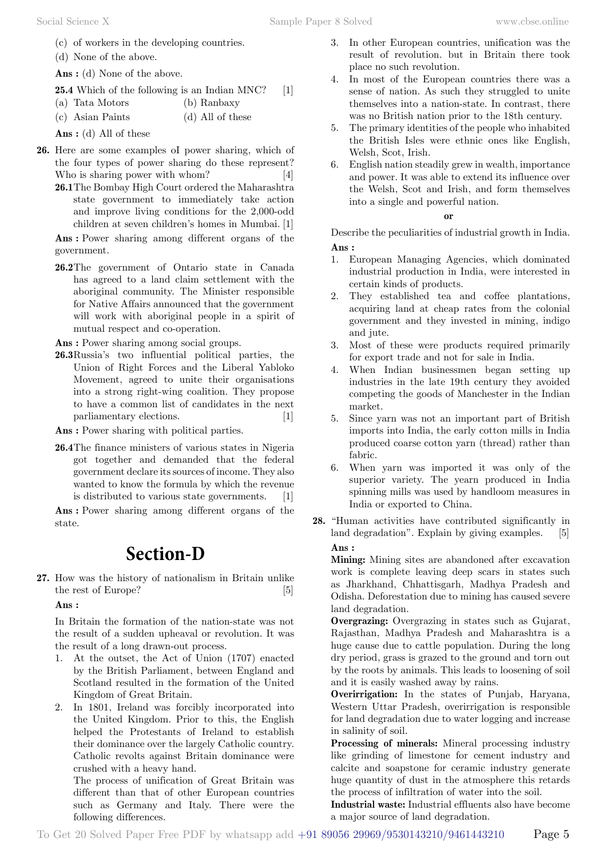- (c) of workers in the developing countries.
- (d) None of the above.

 **Ans :** (d) None of the above.

**25.4** Which of the following is an Indian MNC? [1]

- (a) Tata Motors (b) Ranbaxy
- (c) Asian Paints (d) All of these

 **Ans :** (d) All of these

- **26.** Here are some examples oI power sharing, which of the four types of power sharing do these represent? Who is sharing power with whom?
	- **26.1**The Bombay High Court ordered the Maharashtra state government to immediately take action and improve living conditions for the 2,000-odd children at seven children's homes in Mumbai. [1]

 **Ans :** Power sharing among different organs of the government.

**26.2**The government of Ontario state in Canada has agreed to a land claim settlement with the aboriginal community. The Minister responsible for Native Affairs announced that the government will work with aboriginal people in a spirit of mutual respect and co-operation.

 **Ans :** Power sharing among social groups.

**26.3**Russia's two influential political parties, the Union of Right Forces and the Liberal Yabloko Movement, agreed to unite their organisations into a strong right-wing coalition. They propose to have a common list of candidates in the next parliamentary elections. [1]

 **Ans :** Power sharing with political parties.

**26.4**The finance ministers of various states in Nigeria got together and demanded that the federal government declare its sources of income. They also wanted to know the formula by which the revenue is distributed to various state governments. [1]

 **Ans :** Power sharing among different organs of the state.

# **Section-D**

**27.** How was the history of nationalism in Britain unlike the rest of Europe? [5]

 **Ans :**

In Britain the formation of the nation-state was not the result of a sudden upheaval or revolution. It was the result of a long drawn-out process.

- 1. At the outset, the Act of Union (1707) enacted by the British Parliament, between England and Scotland resulted in the formation of the United Kingdom of Great Britain.
- 2. In 1801, Ireland was forcibly incorporated into the United Kingdom. Prior to this, the English helped the Protestants of Ireland to establish their dominance over the largely Catholic country. Catholic revolts against Britain dominance were crushed with a heavy hand.

The process of unification of Great Britain was different than that of other European countries such as Germany and Italy. There were the following differences.

- 3. In other European countries, unification was the result of revolution. but in Britain there took place no such revolution.
- 4. In most of the European countries there was a sense of nation. As such they struggled to unite themselves into a nation-state. In contrast, there was no British nation prior to the 18th century.
- 5. The primary identities of the people who inhabited the British Isles were ethnic ones like English, Welsh, Scot, Irish.
- 6. English nation steadily grew in wealth, importance and power. It was able to extend its influence over the Welsh, Scot and Irish, and form themselves into a single and powerful nation.

#### **o**

Describe the peculiarities of industrial growth in India.  **Ans :**

- 1. European Managing Agencies, which dominated industrial production in India, were interested in certain kinds of products.
- 2. They established tea and coffee plantations, acquiring land at cheap rates from the colonial government and they invested in mining, indigo and jute.
- 3. Most of these were products required primarily for export trade and not for sale in India.
- 4. When Indian businessmen began setting up industries in the late 19th century they avoided competing the goods of Manchester in the Indian market.
- 5. Since yarn was not an important part of British imports into India, the early cotton mills in India produced coarse cotton yarn (thread) rather than fabric.
- 6. When yarn was imported it was only of the superior variety. The yearn produced in India spinning mills was used by handloom measures in India or exported to China.
- **28.** "Human activities have contributed significantly in land degradation". Explain by giving examples. [5]  **Ans :**

**Mining:** Mining sites are abandoned after excavation work is complete leaving deep scars in states such as Jharkhand, Chhattisgarh, Madhya Pradesh and Odisha. Deforestation due to mining has caused severe land degradation.

**Overgrazing:** Overgrazing in states such as Gujarat, Rajasthan, Madhya Pradesh and Maharashtra is a huge cause due to cattle population. During the long dry period, grass is grazed to the ground and torn out by the roots by animals. This leads to loosening of soil and it is easily washed away by rains.

**Overirrigation:** In the states of Punjab, Haryana, Western Uttar Pradesh, overirrigation is responsible for land degradation due to water logging and increase in salinity of soil.

**Processing of minerals:** Mineral processing industry like grinding of limestone for cement industry and calcite and soapstone for ceramic industry generate huge quantity of dust in the atmosphere this retards the process of infiltration of water into the soil.

**Industrial waste:** Industrial effluents also have become a major source of land degradation.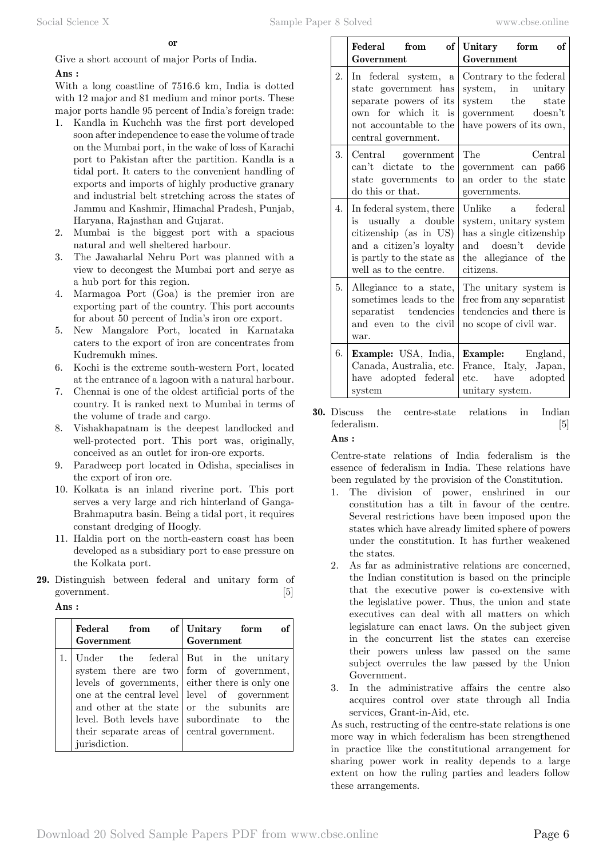Give a short account of major Ports of India.

### **Ans :**

With a long coastline of 7516.6 km, India is dotted with 12 major and 81 medium and minor ports. These major ports handle 95 percent of India's foreign trade:

- 1. Kandla in Kuchchh was the first port developed soon after independence to ease the volume of trade on the Mumbai port, in the wake of loss of Karachi port to Pakistan after the partition. Kandla is a tidal port. It caters to the convenient handling of exports and imports of highly productive granary and industrial belt stretching across the states of Jammu and Kashmir, Himachal Pradesh, Punjab, Haryana, Rajasthan and Gujarat.
- 2. Mumbai is the biggest port with a spacious natural and well sheltered harbour.
- 3. The Jawaharlal Nehru Port was planned with a view to decongest the Mumbai port and serye as a hub port for this region.
- 4. Marmagoa Port (Goa) is the premier iron are exporting part of the country. This port accounts for about 50 percent of India's iron ore export.
- 5. New Mangalore Port, located in Karnataka caters to the export of iron are concentrates from Kudremukh mines.
- 6. Kochi is the extreme south-western Port, located at the entrance of a lagoon with a natural harbour.
- 7. Chennai is one of the oldest artificial ports of the country. It is ranked next to Mumbai in terms of the volume of trade and cargo.
- 8. Vishakhapatnam is the deepest landlocked and well-protected port. This port was, originally, conceived as an outlet for iron-ore exports.
- 9. Paradweep port located in Odisha, specialises in the export of iron ore.
- 10. Kolkata is an inland riverine port. This port serves a very large and rich hinterland of Ganga-Brahmaputra basin. Being a tidal port, it requires constant dredging of Hoogly.
- 11. Haldia port on the north-eastern coast has been developed as a subsidiary port to ease pressure on the Kolkata port.
- **29.** Distinguish between federal and unitary form of government. [5]

| -----<br>-- |  |
|-------------|--|
|-------------|--|

| Federal from<br>Government                                                                           | of Unitary form of<br>Government                                                                                                                                                                                                          |
|------------------------------------------------------------------------------------------------------|-------------------------------------------------------------------------------------------------------------------------------------------------------------------------------------------------------------------------------------------|
| Under the federal But in the unitary<br>their separate areas of eentral government.<br>jurisdiction. | system there are two form of government,<br>levels of governments, either there is only one<br>one at the central level   level of government<br>and other at the state or the subunits are<br>level. Both levels have subordinate to the |

|    | Federal<br>from<br>$\vert$ of $\vert$<br>Government                                                                                                          | Unitary form<br>of<br>Government                                                                                                         |
|----|--------------------------------------------------------------------------------------------------------------------------------------------------------------|------------------------------------------------------------------------------------------------------------------------------------------|
| 2. | In federal system,<br>$\mathbf{a}$<br>state government has<br>separate powers of its<br>own for which it is<br>not accountable to the<br>central government. | Contrary to the federal<br>system, in unitary<br>system the<br>state<br>government doesn't<br>have powers of its own,                    |
| 3. | Central government<br>can't dictate to the<br>state governments to<br>do this or that.                                                                       | The<br>Central<br>government can pa66<br>an order to the state<br>governments.                                                           |
| 4. | In federal system, there<br>is usually a double<br>citizenship (as in US)<br>and a citizen's loyalty<br>is partly to the state as<br>well as to the centre.  | Unlike a<br>federal<br>system, unitary system<br>has a single citizenship<br>doesn't devide<br>and<br>the allegiance of the<br>citizens. |
| 5. | Allegiance to a state,<br>sometimes leads to the<br>separatist tendencies<br>and even to the civil<br>war.                                                   | The unitary system is<br>free from any separatist<br>tendencies and there is<br>no scope of civil war.                                   |
| 6. | <b>Example:</b> USA, India,<br>Canada, Australia, etc.<br>have adopted federal<br>system                                                                     | <b>Example:</b> England,<br>France, Italy, Japan,<br>etc. have adopted<br>unitary system.                                                |

**30.** Discuss the centre-state relations in Indian federalism. [5]  **Ans :**

Centre-state relations of India federalism is the essence of federalism in India. These relations have been regulated by the provision of the Constitution.

- 1. The division of power, enshrined in our constitution has a tilt in favour of the centre. Several restrictions have been imposed upon the states which have already limited sphere of powers under the constitution. It has further weakened the states.
- 2. As far as administrative relations are concerned, the Indian constitution is based on the principle that the executive power is co-extensive with the legislative power. Thus, the union and state executives can deal with all matters on which legislature can enact laws. On the subject given in the concurrent list the states can exercise their powers unless law passed on the same subject overrules the law passed by the Union Government.
- 3. In the administrative affairs the centre also acquires control over state through all India services, Grant-in-Aid, etc.

As such, restructing of the centre-state relations is one more way in which federalism has been strengthened in practice like the constitutional arrangement for sharing power work in reality depends to a large extent on how the ruling parties and leaders follow these arrangements.